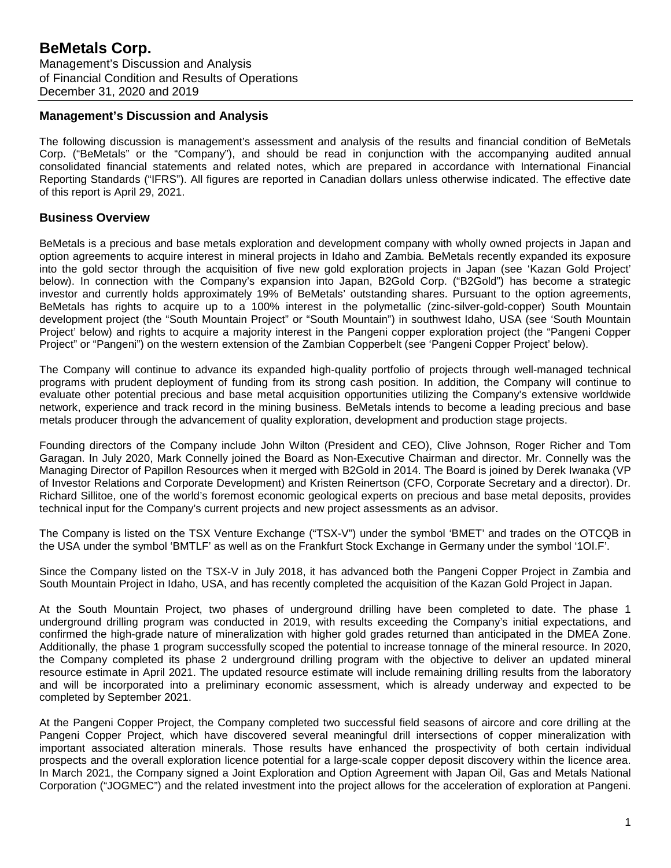### **Management's Discussion and Analysis**

The following discussion is management's assessment and analysis of the results and financial condition of BeMetals Corp. ("BeMetals" or the "Company"), and should be read in conjunction with the accompanying audited annual consolidated financial statements and related notes, which are prepared in accordance with International Financial Reporting Standards ("IFRS"). All figures are reported in Canadian dollars unless otherwise indicated. The effective date of this report is April 29, 2021.

# **Business Overview**

BeMetals is a precious and base metals exploration and development company with wholly owned projects in Japan and option agreements to acquire interest in mineral projects in Idaho and Zambia. BeMetals recently expanded its exposure into the gold sector through the acquisition of five new gold exploration projects in Japan (see 'Kazan Gold Project' below). In connection with the Company's expansion into Japan, B2Gold Corp. ("B2Gold") has become a strategic investor and currently holds approximately 19% of BeMetals' outstanding shares. Pursuant to the option agreements, BeMetals has rights to acquire up to a 100% interest in the polymetallic (zinc-silver-gold-copper) South Mountain development project (the "South Mountain Project" or "South Mountain") in southwest Idaho, USA (see 'South Mountain Project' below) and rights to acquire a majority interest in the Pangeni copper exploration project (the "Pangeni Copper Project" or "Pangeni") on the western extension of the Zambian Copperbelt (see 'Pangeni Copper Project' below).

The Company will continue to advance its expanded high-quality portfolio of projects through well-managed technical programs with prudent deployment of funding from its strong cash position. In addition, the Company will continue to evaluate other potential precious and base metal acquisition opportunities utilizing the Company's extensive worldwide network, experience and track record in the mining business. BeMetals intends to become a leading precious and base metals producer through the advancement of quality exploration, development and production stage projects.

Founding directors of the Company include John Wilton (President and CEO), Clive Johnson, Roger Richer and Tom Garagan. In July 2020, Mark Connelly joined the Board as Non-Executive Chairman and director. Mr. Connelly was the Managing Director of Papillon Resources when it merged with B2Gold in 2014. The Board is joined by Derek Iwanaka (VP of Investor Relations and Corporate Development) and Kristen Reinertson (CFO, Corporate Secretary and a director). Dr. Richard Sillitoe, one of the world's foremost economic geological experts on precious and base metal deposits, provides technical input for the Company's current projects and new project assessments as an advisor.

The Company is listed on the TSX Venture Exchange ("TSX-V") under the symbol 'BMET' and trades on the OTCQB in the USA under the symbol 'BMTLF' as well as on the Frankfurt Stock Exchange in Germany under the symbol '1OI.F'.

Since the Company listed on the TSX-V in July 2018, it has advanced both the Pangeni Copper Project in Zambia and South Mountain Project in Idaho, USA, and has recently completed the acquisition of the Kazan Gold Project in Japan.

At the South Mountain Project, two phases of underground drilling have been completed to date. The phase 1 underground drilling program was conducted in 2019, with results exceeding the Company's initial expectations, and confirmed the high-grade nature of mineralization with higher gold grades returned than anticipated in the DMEA Zone. Additionally, the phase 1 program successfully scoped the potential to increase tonnage of the mineral resource. In 2020, the Company completed its phase 2 underground drilling program with the objective to deliver an updated mineral resource estimate in April 2021. The updated resource estimate will include remaining drilling results from the laboratory and will be incorporated into a preliminary economic assessment, which is already underway and expected to be completed by September 2021.

At the Pangeni Copper Project, the Company completed two successful field seasons of aircore and core drilling at the Pangeni Copper Project, which have discovered several meaningful drill intersections of copper mineralization with important associated alteration minerals. Those results have enhanced the prospectivity of both certain individual prospects and the overall exploration licence potential for a large-scale copper deposit discovery within the licence area. In March 2021, the Company signed a Joint Exploration and Option Agreement with Japan Oil, Gas and Metals National Corporation ("JOGMEC") and the related investment into the project allows for the acceleration of exploration at Pangeni.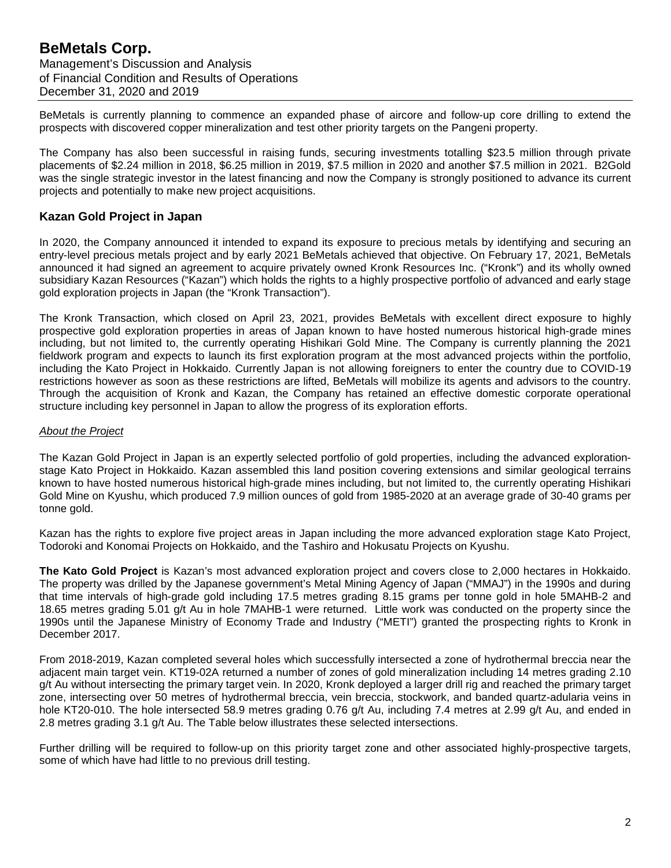BeMetals is currently planning to commence an expanded phase of aircore and follow-up core drilling to extend the prospects with discovered copper mineralization and test other priority targets on the Pangeni property.

The Company has also been successful in raising funds, securing investments totalling \$23.5 million through private placements of \$2.24 million in 2018, \$6.25 million in 2019, \$7.5 million in 2020 and another \$7.5 million in 2021. B2Gold was the single strategic investor in the latest financing and now the Company is strongly positioned to advance its current projects and potentially to make new project acquisitions.

# **Kazan Gold Project in Japan**

In 2020, the Company announced it intended to expand its exposure to precious metals by identifying and securing an entry-level precious metals project and by early 2021 BeMetals achieved that objective. On February 17, 2021, BeMetals announced it had signed an agreement to acquire privately owned Kronk Resources Inc. ("Kronk") and its wholly owned subsidiary Kazan Resources ("Kazan") which holds the rights to a highly prospective portfolio of advanced and early stage gold exploration projects in Japan (the "Kronk Transaction").

The Kronk Transaction, which closed on April 23, 2021, provides BeMetals with excellent direct exposure to highly prospective gold exploration properties in areas of Japan known to have hosted numerous historical high-grade mines including, but not limited to, the currently operating Hishikari Gold Mine. The Company is currently planning the 2021 fieldwork program and expects to launch its first exploration program at the most advanced projects within the portfolio, including the Kato Project in Hokkaido. Currently Japan is not allowing foreigners to enter the country due to COVID-19 restrictions however as soon as these restrictions are lifted, BeMetals will mobilize its agents and advisors to the country. Through the acquisition of Kronk and Kazan, the Company has retained an effective domestic corporate operational structure including key personnel in Japan to allow the progress of its exploration efforts.

# *About the Project*

The Kazan Gold Project in Japan is an expertly selected portfolio of gold properties, including the advanced explorationstage Kato Project in Hokkaido. Kazan assembled this land position covering extensions and similar geological terrains known to have hosted numerous historical high-grade mines including, but not limited to, the currently operating Hishikari Gold Mine on Kyushu, which produced 7.9 million ounces of gold from 1985-2020 at an average grade of 30-40 grams per tonne gold.

Kazan has the rights to explore five project areas in Japan including the more advanced exploration stage Kato Project, Todoroki and Konomai Projects on Hokkaido, and the Tashiro and Hokusatu Projects on Kyushu.

**The Kato Gold Project** is Kazan's most advanced exploration project and covers close to 2,000 hectares in Hokkaido. The property was drilled by the Japanese government's Metal Mining Agency of Japan ("MMAJ") in the 1990s and during that time intervals of high-grade gold including 17.5 metres grading 8.15 grams per tonne gold in hole 5MAHB-2 and 18.65 metres grading 5.01 g/t Au in hole 7MAHB-1 were returned. Little work was conducted on the property since the 1990s until the Japanese Ministry of Economy Trade and Industry ("METI") granted the prospecting rights to Kronk in December 2017.

From 2018-2019, Kazan completed several holes which successfully intersected a zone of hydrothermal breccia near the adjacent main target vein. KT19-02A returned a number of zones of gold mineralization including 14 metres grading 2.10 g/t Au without intersecting the primary target vein. In 2020, Kronk deployed a larger drill rig and reached the primary target zone, intersecting over 50 metres of hydrothermal breccia, vein breccia, stockwork, and banded quartz-adularia veins in hole KT20-010. The hole intersected 58.9 metres grading 0.76 g/t Au, including 7.4 metres at 2.99 g/t Au, and ended in 2.8 metres grading 3.1 g/t Au. The Table below illustrates these selected intersections.

Further drilling will be required to follow-up on this priority target zone and other associated highly-prospective targets, some of which have had little to no previous drill testing.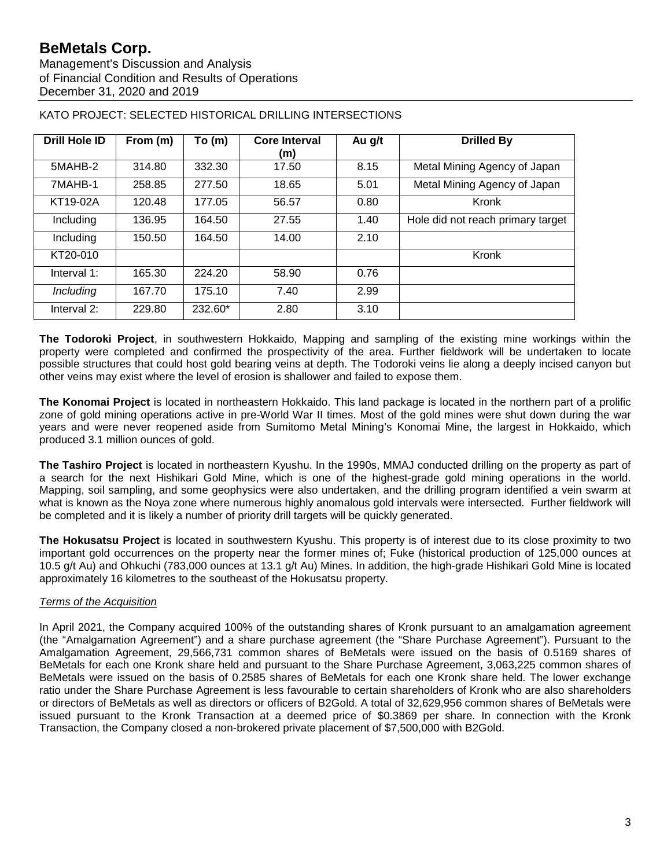Management's Discussion and Analysis of Financial Condition and Results of Operations December 31, 2020 and 2019

| <b>Drill Hole ID</b> | From (m) | To (m)  | <b>Core Interval</b><br>(m) | Au g/t | <b>Drilled By</b>                 |
|----------------------|----------|---------|-----------------------------|--------|-----------------------------------|
| 5MAHB-2              | 314.80   | 332.30  | 17.50                       | 8.15   | Metal Mining Agency of Japan      |
| 7MAHB-1              | 258.85   | 277.50  | 18.65                       | 5.01   | Metal Mining Agency of Japan      |
| KT19-02A             | 120.48   | 177.05  | 56.57                       | 0.80   | Kronk                             |
| Including            | 136.95   | 164.50  | 27.55                       | 1.40   | Hole did not reach primary target |
| Including            | 150.50   | 164.50  | 14.00                       | 2.10   |                                   |
| KT20-010             |          |         |                             |        | Kronk                             |
| Interval $1$ :       | 165.30   | 224.20  | 58.90                       | 0.76   |                                   |
| <b>Including</b>     | 167.70   | 175.10  | 7.40                        | 2.99   |                                   |
| Interval 2:          | 229.80   | 232.60* | 2.80                        | 3.10   |                                   |

KATO PROJECT: SELECTED HISTORICAL DRILLING INTERSECTIONS

**The Todoroki Project**, in southwestern Hokkaido, Mapping and sampling of the existing mine workings within the property were completed and confirmed the prospectivity of the area. Further fieldwork will be undertaken to locate possible structures that could host gold bearing veins at depth. The Todoroki veins lie along a deeply incised canyon but other veins may exist where the level of erosion is shallower and failed to expose them.

**The Konomai Project** is located in northeastern Hokkaido. This land package is located in the northern part of a prolific zone of gold mining operations active in pre-World War II times. Most of the gold mines were shut down during the war years and were never reopened aside from Sumitomo Metal Mining's Konomai Mine, the largest in Hokkaido, which produced 3.1 million ounces of gold.

**The Tashiro Project** is located in northeastern Kyushu. In the 1990s, MMAJ conducted drilling on the property as part of a search for the next Hishikari Gold Mine, which is one of the highest-grade gold mining operations in the world. Mapping, soil sampling, and some geophysics were also undertaken, and the drilling program identified a vein swarm at what is known as the Noya zone where numerous highly anomalous gold intervals were intersected. Further fieldwork will be completed and it is likely a number of priority drill targets will be quickly generated.

**The Hokusatsu Project** is located in southwestern Kyushu. This property is of interest due to its close proximity to two important gold occurrences on the property near the former mines of; Fuke (historical production of 125,000 ounces at 10.5 g/t Au) and Ohkuchi (783,000 ounces at 13.1 g/t Au) Mines. In addition, the high-grade Hishikari Gold Mine is located approximately 16 kilometres to the southeast of the Hokusatsu property.

# *Terms of the Acquisition*

In April 2021, the Company acquired 100% of the outstanding shares of Kronk pursuant to an amalgamation agreement (the "Amalgamation Agreement") and a share purchase agreement (the "Share Purchase Agreement"). Pursuant to the Amalgamation Agreement, 29,566,731 common shares of BeMetals were issued on the basis of 0.5169 shares of BeMetals for each one Kronk share held and pursuant to the Share Purchase Agreement, 3,063,225 common shares of BeMetals were issued on the basis of 0.2585 shares of BeMetals for each one Kronk share held. The lower exchange ratio under the Share Purchase Agreement is less favourable to certain shareholders of Kronk who are also shareholders or directors of BeMetals as well as directors or officers of B2Gold. A total of 32,629,956 common shares of BeMetals were issued pursuant to the Kronk Transaction at a deemed price of \$0.3869 per share. In connection with the Kronk Transaction, the Company closed a non-brokered private placement of \$7,500,000 with B2Gold.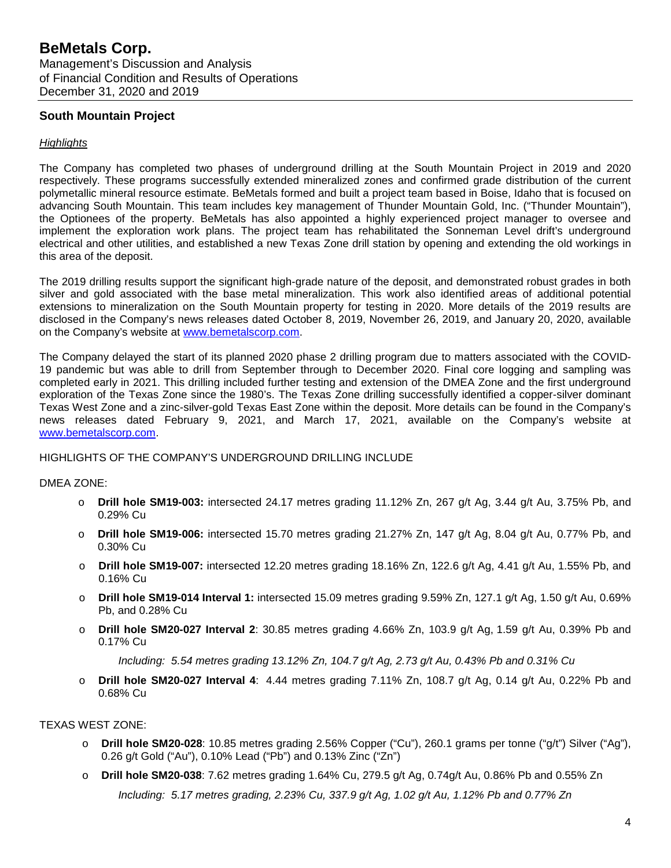# **South Mountain Project**

#### *Highlights*

The Company has completed two phases of underground drilling at the South Mountain Project in 2019 and 2020 respectively. These programs successfully extended mineralized zones and confirmed grade distribution of the current polymetallic mineral resource estimate. BeMetals formed and built a project team based in Boise, Idaho that is focused on advancing South Mountain. This team includes key management of Thunder Mountain Gold, Inc. ("Thunder Mountain"), the Optionees of the property. BeMetals has also appointed a highly experienced project manager to oversee and implement the exploration work plans. The project team has rehabilitated the Sonneman Level drift's underground electrical and other utilities, and established a new Texas Zone drill station by opening and extending the old workings in this area of the deposit.

The 2019 drilling results support the significant high-grade nature of the deposit, and demonstrated robust grades in both silver and gold associated with the base metal mineralization. This work also identified areas of additional potential extensions to mineralization on the South Mountain property for testing in 2020. More details of the 2019 results are disclosed in the Company's news releases dated October 8, 2019, November 26, 2019, and January 20, 2020, available on the Company's website at [www.bemetalscorp.com.](http://www.bemetalscorp.com/)

The Company delayed the start of its planned 2020 phase 2 drilling program due to matters associated with the COVID-19 pandemic but was able to drill from September through to December 2020. Final core logging and sampling was completed early in 2021. This drilling included further testing and extension of the DMEA Zone and the first underground exploration of the Texas Zone since the 1980's. The Texas Zone drilling successfully identified a copper-silver dominant Texas West Zone and a zinc-silver-gold Texas East Zone within the deposit. More details can be found in the Company's news releases dated February 9, 2021, and March 17, 2021, available on the Company's website at [www.bemetalscorp.com.](http://www.bemetalscorp.com/)

#### HIGHLIGHTS OF THE COMPANY'S UNDERGROUND DRILLING INCLUDE

#### DMEA ZONE:

- o **Drill hole SM19-003:** intersected 24.17 metres grading 11.12% Zn, 267 g/t Ag, 3.44 g/t Au, 3.75% Pb, and 0.29% Cu
- o **Drill hole SM19-006:** intersected 15.70 metres grading 21.27% Zn, 147 g/t Ag, 8.04 g/t Au, 0.77% Pb, and 0.30% Cu
- o **Drill hole SM19-007:** intersected 12.20 metres grading 18.16% Zn, 122.6 g/t Ag, 4.41 g/t Au, 1.55% Pb, and 0.16% Cu
- o **Drill hole SM19-014 Interval 1:** intersected 15.09 metres grading 9.59% Zn, 127.1 g/t Ag, 1.50 g/t Au, 0.69% Pb, and 0.28% Cu
- o **Drill hole SM20-027 Interval 2**: 30.85 metres grading 4.66% Zn, 103.9 g/t Ag, 1.59 g/t Au, 0.39% Pb and 0.17% Cu

*Including: 5.54 metres grading 13.12% Zn, 104.7 g/t Ag, 2.73 g/t Au, 0.43% Pb and 0.31% Cu*

o **Drill hole SM20-027 Interval 4**: 4.44 metres grading 7.11% Zn, 108.7 g/t Ag, 0.14 g/t Au, 0.22% Pb and 0.68% Cu

#### TEXAS WEST ZONE:

- **Drill hole SM20-028**: 10.85 metres grading 2.56% Copper ("Cu"), 260.1 grams per tonne ("g/t") Silver ("Ag"), 0.26 g/t Gold ("Au"), 0.10% Lead ("Pb") and 0.13% Zinc ("Zn")
- o **Drill hole SM20-038**: 7.62 metres grading 1.64% Cu, 279.5 g/t Ag, 0.74g/t Au, 0.86% Pb and 0.55% Zn

*Including: 5.17 metres grading, 2.23% Cu, 337.9 g/t Ag, 1.02 g/t Au, 1.12% Pb and 0.77% Zn*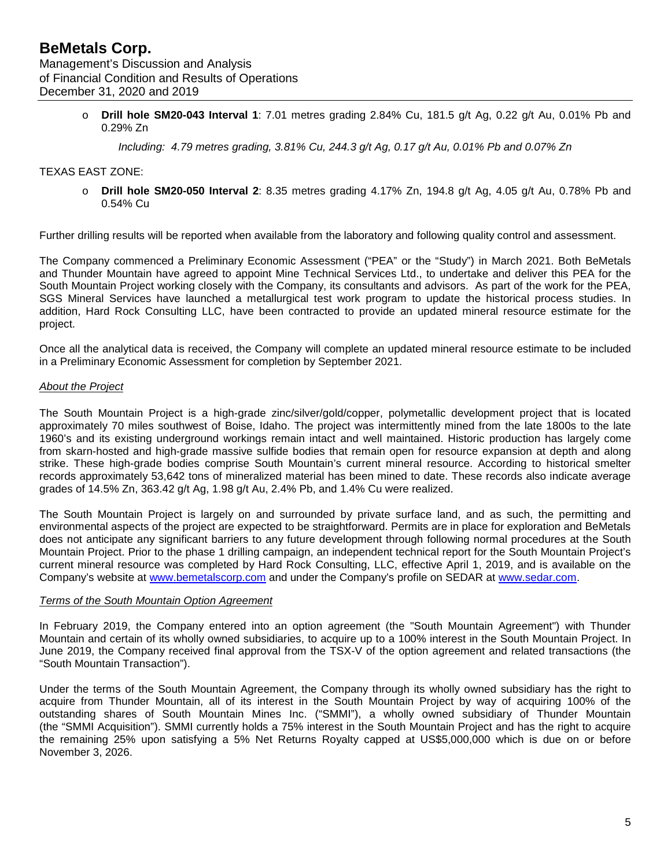o **Drill hole SM20-043 Interval 1**: 7.01 metres grading 2.84% Cu, 181.5 g/t Ag, 0.22 g/t Au, 0.01% Pb and 0.29% Zn

*Including: 4.79 metres grading, 3.81% Cu, 244.3 g/t Ag, 0.17 g/t Au, 0.01% Pb and 0.07% Zn*

### TEXAS EAST ZONE:

o **Drill hole SM20-050 Interval 2**: 8.35 metres grading 4.17% Zn, 194.8 g/t Ag, 4.05 g/t Au, 0.78% Pb and 0.54% Cu

Further drilling results will be reported when available from the laboratory and following quality control and assessment.

The Company commenced a Preliminary Economic Assessment ("PEA" or the "Study") in March 2021. Both BeMetals and Thunder Mountain have agreed to appoint Mine Technical Services Ltd., to undertake and deliver this PEA for the South Mountain Project working closely with the Company, its consultants and advisors. As part of the work for the PEA, SGS Mineral Services have launched a metallurgical test work program to update the historical process studies. In addition, Hard Rock Consulting LLC, have been contracted to provide an updated mineral resource estimate for the project.

Once all the analytical data is received, the Company will complete an updated mineral resource estimate to be included in a Preliminary Economic Assessment for completion by September 2021.

#### *About the Project*

The South Mountain Project is a high-grade zinc/silver/gold/copper, polymetallic development project that is located approximately 70 miles southwest of Boise, Idaho. The project was intermittently mined from the late 1800s to the late 1960's and its existing underground workings remain intact and well maintained. Historic production has largely come from skarn-hosted and high-grade massive sulfide bodies that remain open for resource expansion at depth and along strike. These high-grade bodies comprise South Mountain's current mineral resource. According to historical smelter records approximately 53,642 tons of mineralized material has been mined to date. These records also indicate average grades of 14.5% Zn, 363.42 g/t Ag, 1.98 g/t Au, 2.4% Pb, and 1.4% Cu were realized.

The South Mountain Project is largely on and surrounded by private surface land, and as such, the permitting and environmental aspects of the project are expected to be straightforward. Permits are in place for exploration and BeMetals does not anticipate any significant barriers to any future development through following normal procedures at the South Mountain Project. Prior to the phase 1 drilling campaign, an independent technical report for the South Mountain Project's current mineral resource was completed by Hard Rock Consulting, LLC, effective April 1, 2019, and is available on the Company's website at [www.bemetalscorp.com](http://www.bemetalscorp.com/) and under the Company's profile on SEDAR at [www.sedar.com.](http://www.sedar.com/)

#### *Terms of the South Mountain Option Agreement*

In February 2019, the Company entered into an option agreement (the "South Mountain Agreement") with Thunder Mountain and certain of its wholly owned subsidiaries, to acquire up to a 100% interest in the South Mountain Project. In June 2019, the Company received final approval from the TSX-V of the option agreement and related transactions (the "South Mountain Transaction").

Under the terms of the South Mountain Agreement, the Company through its wholly owned subsidiary has the right to acquire from Thunder Mountain, all of its interest in the South Mountain Project by way of acquiring 100% of the outstanding shares of South Mountain Mines Inc. ("SMMI"), a wholly owned subsidiary of Thunder Mountain (the "SMMI Acquisition"). SMMI currently holds a 75% interest in the South Mountain Project and has the right to acquire the remaining 25% upon satisfying a 5% Net Returns Royalty capped at US\$5,000,000 which is due on or before November 3, 2026.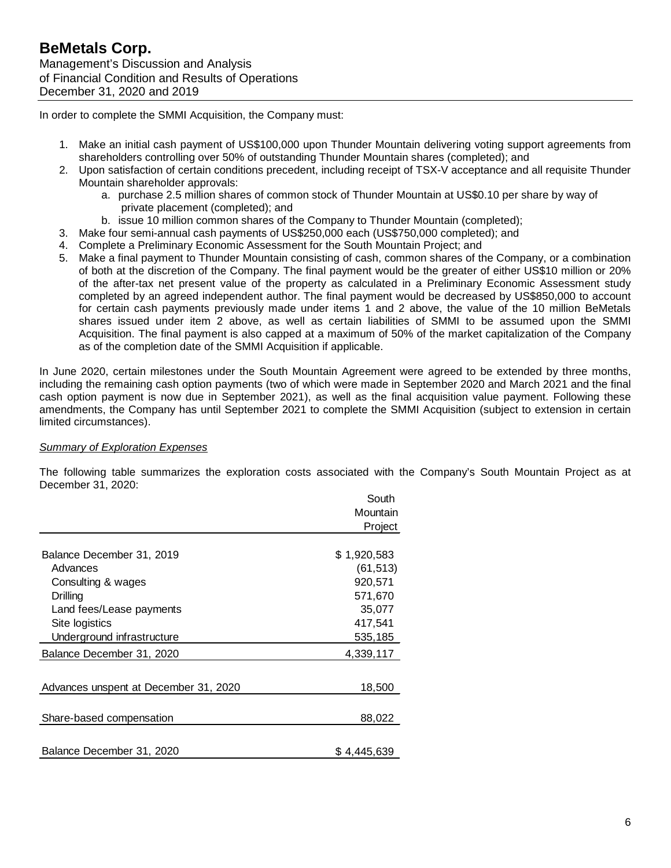In order to complete the SMMI Acquisition, the Company must:

- 1. Make an initial cash payment of US\$100,000 upon Thunder Mountain delivering voting support agreements from shareholders controlling over 50% of outstanding Thunder Mountain shares (completed); and
- 2. Upon satisfaction of certain conditions precedent, including receipt of TSX-V acceptance and all requisite Thunder Mountain shareholder approvals:
	- a. purchase 2.5 million shares of common stock of Thunder Mountain at US\$0.10 per share by way of private placement (completed); and
	- b. issue 10 million common shares of the Company to Thunder Mountain (completed);
- 3. Make four semi-annual cash payments of US\$250,000 each (US\$750,000 completed); and
- 4. Complete a Preliminary Economic Assessment for the South Mountain Project; and
- 5. Make a final payment to Thunder Mountain consisting of cash, common shares of the Company, or a combination of both at the discretion of the Company. The final payment would be the greater of either US\$10 million or 20% of the after-tax net present value of the property as calculated in a Preliminary Economic Assessment study completed by an agreed independent author. The final payment would be decreased by US\$850,000 to account for certain cash payments previously made under items 1 and 2 above, the value of the 10 million BeMetals shares issued under item 2 above, as well as certain liabilities of SMMI to be assumed upon the SMMI Acquisition. The final payment is also capped at a maximum of 50% of the market capitalization of the Company as of the completion date of the SMMI Acquisition if applicable.

In June 2020, certain milestones under the South Mountain Agreement were agreed to be extended by three months, including the remaining cash option payments (two of which were made in September 2020 and March 2021 and the final cash option payment is now due in September 2021), as well as the final acquisition value payment. Following these amendments, the Company has until September 2021 to complete the SMMI Acquisition (subject to extension in certain limited circumstances).

# *Summary of Exploration Expenses*

The following table summarizes the exploration costs associated with the Company's South Mountain Project as at December 31, 2020:

|                                       | South       |
|---------------------------------------|-------------|
|                                       | Mountain    |
|                                       | Project     |
|                                       |             |
| Balance December 31, 2019             | \$1,920,583 |
| Advances                              | (61, 513)   |
| Consulting & wages                    | 920,571     |
| Drilling                              | 571,670     |
| Land fees/Lease payments              | 35,077      |
| Site logistics                        | 417,541     |
| Underground infrastructure            | 535,185     |
| Balance December 31, 2020             | 4,339,117   |
|                                       |             |
| Advances unspent at December 31, 2020 | 18,500      |
|                                       |             |
| Share-based compensation              | 88,022      |
|                                       |             |
| Balance December 31, 2020             | \$4,445,639 |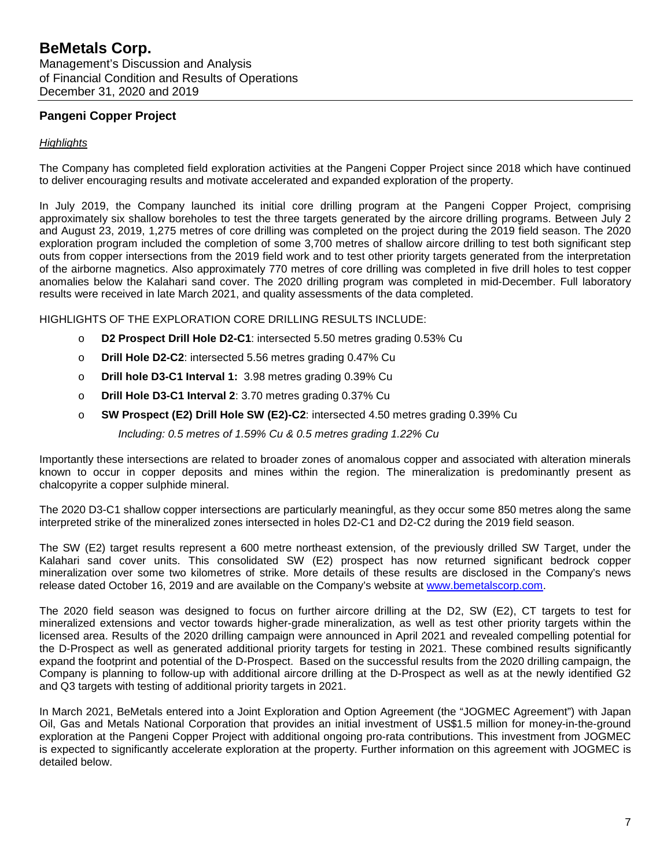# **BeMetals Corp.** Management's Discussion and Analysis

of Financial Condition and Results of Operations December 31, 2020 and 2019

# **Pangeni Copper Project**

# *Highlights*

The Company has completed field exploration activities at the Pangeni Copper Project since 2018 which have continued to deliver encouraging results and motivate accelerated and expanded exploration of the property.

In July 2019, the Company launched its initial core drilling program at the Pangeni Copper Project, comprising approximately six shallow boreholes to test the three targets generated by the aircore drilling programs. Between July 2 and August 23, 2019, 1,275 metres of core drilling was completed on the project during the 2019 field season. The 2020 exploration program included the completion of some 3,700 metres of shallow aircore drilling to test both significant step outs from copper intersections from the 2019 field work and to test other priority targets generated from the interpretation of the airborne magnetics. Also approximately 770 metres of core drilling was completed in five drill holes to test copper anomalies below the Kalahari sand cover. The 2020 drilling program was completed in mid-December. Full laboratory results were received in late March 2021, and quality assessments of the data completed.

HIGHLIGHTS OF THE EXPLORATION CORE DRILLING RESULTS INCLUDE:

- o **D2 Prospect Drill Hole D2-C1**: intersected 5.50 metres grading 0.53% Cu
- o **Drill Hole D2-C2**: intersected 5.56 metres grading 0.47% Cu
- o **Drill hole D3-C1 Interval 1:** 3.98 metres grading 0.39% Cu
- o **Drill Hole D3-C1 Interval 2**: 3.70 metres grading 0.37% Cu
- o **SW Prospect (E2) Drill Hole SW (E2)-C2**: intersected 4.50 metres grading 0.39% Cu

*Including: 0.5 metres of 1.59% Cu & 0.5 metres grading 1.22% Cu*

Importantly these intersections are related to broader zones of anomalous copper and associated with alteration minerals known to occur in copper deposits and mines within the region. The mineralization is predominantly present as chalcopyrite a copper sulphide mineral.

The 2020 D3-C1 shallow copper intersections are particularly meaningful, as they occur some 850 metres along the same interpreted strike of the mineralized zones intersected in holes D2-C1 and D2-C2 during the 2019 field season.

The SW (E2) target results represent a 600 metre northeast extension, of the previously drilled SW Target, under the Kalahari sand cover units. This consolidated SW (E2) prospect has now returned significant bedrock copper mineralization over some two kilometres of strike. More details of these results are disclosed in the Company's news release dated October 16, 2019 and are available on the Company's website at [www.bemetalscorp.com.](http://www.bemetalscorp.com/)

The 2020 field season was designed to focus on further aircore drilling at the D2, SW (E2), CT targets to test for mineralized extensions and vector towards higher-grade mineralization, as well as test other priority targets within the licensed area. Results of the 2020 drilling campaign were announced in April 2021 and revealed compelling potential for the D-Prospect as well as generated additional priority targets for testing in 2021. These combined results significantly expand the footprint and potential of the D-Prospect. Based on the successful results from the 2020 drilling campaign, the Company is planning to follow-up with additional aircore drilling at the D-Prospect as well as at the newly identified G2 and Q3 targets with testing of additional priority targets in 2021.

In March 2021, BeMetals entered into a Joint Exploration and Option Agreement (the "JOGMEC Agreement") with Japan Oil, Gas and Metals National Corporation that provides an initial investment of US\$1.5 million for money-in-the-ground exploration at the Pangeni Copper Project with additional ongoing pro-rata contributions. This investment from JOGMEC is expected to significantly accelerate exploration at the property. Further information on this agreement with JOGMEC is detailed below.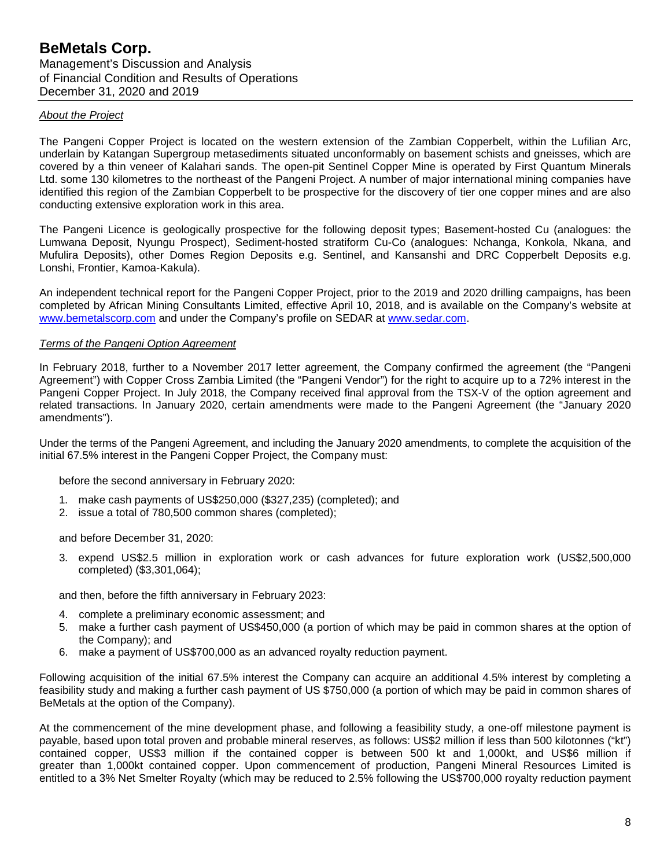#### *About the Project*

The Pangeni Copper Project is located on the western extension of the Zambian Copperbelt, within the Lufilian Arc, underlain by Katangan Supergroup metasediments situated unconformably on basement schists and gneisses, which are covered by a thin veneer of Kalahari sands. The open-pit Sentinel Copper Mine is operated by First Quantum Minerals Ltd. some 130 kilometres to the northeast of the Pangeni Project. A number of major international mining companies have identified this region of the Zambian Copperbelt to be prospective for the discovery of tier one copper mines and are also conducting extensive exploration work in this area.

The Pangeni Licence is geologically prospective for the following deposit types; Basement-hosted Cu (analogues: the Lumwana Deposit, Nyungu Prospect), Sediment-hosted stratiform Cu-Co (analogues: Nchanga, Konkola, Nkana, and Mufulira Deposits), other Domes Region Deposits e.g. Sentinel, and Kansanshi and DRC Copperbelt Deposits e.g. Lonshi, Frontier, Kamoa-Kakula).

An independent technical report for the Pangeni Copper Project, prior to the 2019 and 2020 drilling campaigns, has been completed by African Mining Consultants Limited, effective April 10, 2018, and is available on the Company's website at [www.bemetalscorp.com](http://www.bemetalscorp.com/) and under the Company's profile on SEDAR at [www.sedar.com.](http://www.sedar.com/)

#### *Terms of the Pangeni Option Agreement*

In February 2018, further to a November 2017 letter agreement, the Company confirmed the agreement (the "Pangeni Agreement") with Copper Cross Zambia Limited (the "Pangeni Vendor") for the right to acquire up to a 72% interest in the Pangeni Copper Project. In July 2018, the Company received final approval from the TSX-V of the option agreement and related transactions. In January 2020, certain amendments were made to the Pangeni Agreement (the "January 2020 amendments").

Under the terms of the Pangeni Agreement, and including the January 2020 amendments, to complete the acquisition of the initial 67.5% interest in the Pangeni Copper Project, the Company must:

before the second anniversary in February 2020:

- 1. make cash payments of US\$250,000 (\$327,235) (completed); and
- 2. issue a total of 780,500 common shares (completed);

and before December 31, 2020:

3. expend US\$2.5 million in exploration work or cash advances for future exploration work (US\$2,500,000 completed) (\$3,301,064);

and then, before the fifth anniversary in February 2023:

- 4. complete a preliminary economic assessment; and
- 5. make a further cash payment of US\$450,000 (a portion of which may be paid in common shares at the option of the Company); and
- 6. make a payment of US\$700,000 as an advanced royalty reduction payment.

Following acquisition of the initial 67.5% interest the Company can acquire an additional 4.5% interest by completing a feasibility study and making a further cash payment of US \$750,000 (a portion of which may be paid in common shares of BeMetals at the option of the Company).

At the commencement of the mine development phase, and following a feasibility study, a one-off milestone payment is payable, based upon total proven and probable mineral reserves, as follows: US\$2 million if less than 500 kilotonnes ("kt") contained copper, US\$3 million if the contained copper is between 500 kt and 1,000kt, and US\$6 million if greater than 1,000kt contained copper. Upon commencement of production, Pangeni Mineral Resources Limited is entitled to a 3% Net Smelter Royalty (which may be reduced to 2.5% following the US\$700,000 royalty reduction payment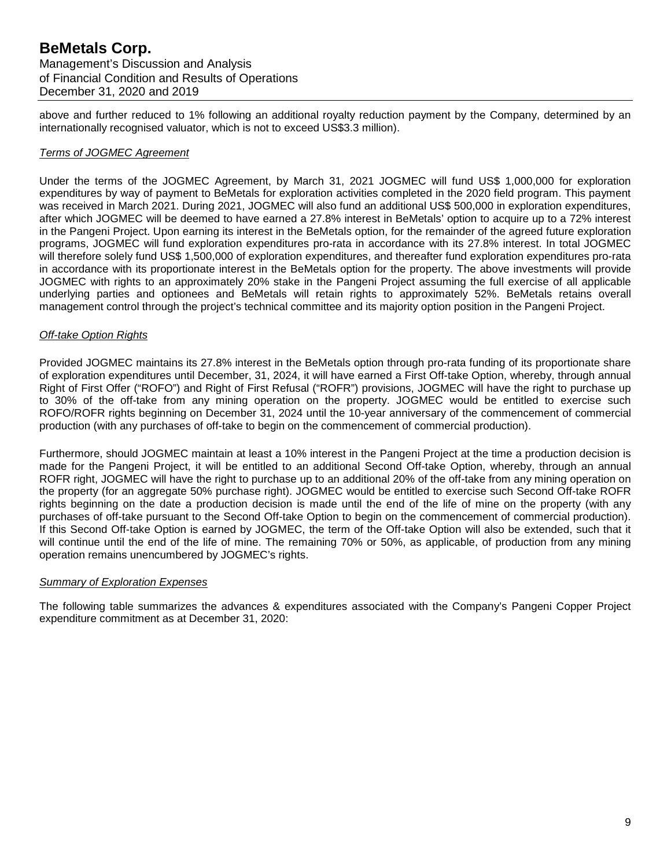above and further reduced to 1% following an additional royalty reduction payment by the Company, determined by an internationally recognised valuator, which is not to exceed US\$3.3 million).

#### *Terms of JOGMEC Agreement*

Under the terms of the JOGMEC Agreement, by March 31, 2021 JOGMEC will fund US\$ 1,000,000 for exploration expenditures by way of payment to BeMetals for exploration activities completed in the 2020 field program. This payment was received in March 2021. During 2021, JOGMEC will also fund an additional US\$ 500,000 in exploration expenditures, after which JOGMEC will be deemed to have earned a 27.8% interest in BeMetals' option to acquire up to a 72% interest in the Pangeni Project. Upon earning its interest in the BeMetals option, for the remainder of the agreed future exploration programs, JOGMEC will fund exploration expenditures pro-rata in accordance with its 27.8% interest. In total JOGMEC will therefore solely fund US\$ 1,500,000 of exploration expenditures, and thereafter fund exploration expenditures pro-rata in accordance with its proportionate interest in the BeMetals option for the property. The above investments will provide JOGMEC with rights to an approximately 20% stake in the Pangeni Project assuming the full exercise of all applicable underlying parties and optionees and BeMetals will retain rights to approximately 52%. BeMetals retains overall management control through the project's technical committee and its majority option position in the Pangeni Project.

#### *Off-take Option Rights*

Provided JOGMEC maintains its 27.8% interest in the BeMetals option through pro-rata funding of its proportionate share of exploration expenditures until December, 31, 2024, it will have earned a First Off-take Option, whereby, through annual Right of First Offer ("ROFO") and Right of First Refusal ("ROFR") provisions, JOGMEC will have the right to purchase up to 30% of the off-take from any mining operation on the property. JOGMEC would be entitled to exercise such ROFO/ROFR rights beginning on December 31, 2024 until the 10-year anniversary of the commencement of commercial production (with any purchases of off-take to begin on the commencement of commercial production).

Furthermore, should JOGMEC maintain at least a 10% interest in the Pangeni Project at the time a production decision is made for the Pangeni Project, it will be entitled to an additional Second Off-take Option, whereby, through an annual ROFR right, JOGMEC will have the right to purchase up to an additional 20% of the off-take from any mining operation on the property (for an aggregate 50% purchase right). JOGMEC would be entitled to exercise such Second Off-take ROFR rights beginning on the date a production decision is made until the end of the life of mine on the property (with any purchases of off-take pursuant to the Second Off-take Option to begin on the commencement of commercial production). If this Second Off-take Option is earned by JOGMEC, the term of the Off-take Option will also be extended, such that it will continue until the end of the life of mine. The remaining 70% or 50%, as applicable, of production from any mining operation remains unencumbered by JOGMEC's rights.

#### *Summary of Exploration Expenses*

The following table summarizes the advances & expenditures associated with the Company's Pangeni Copper Project expenditure commitment as at December 31, 2020: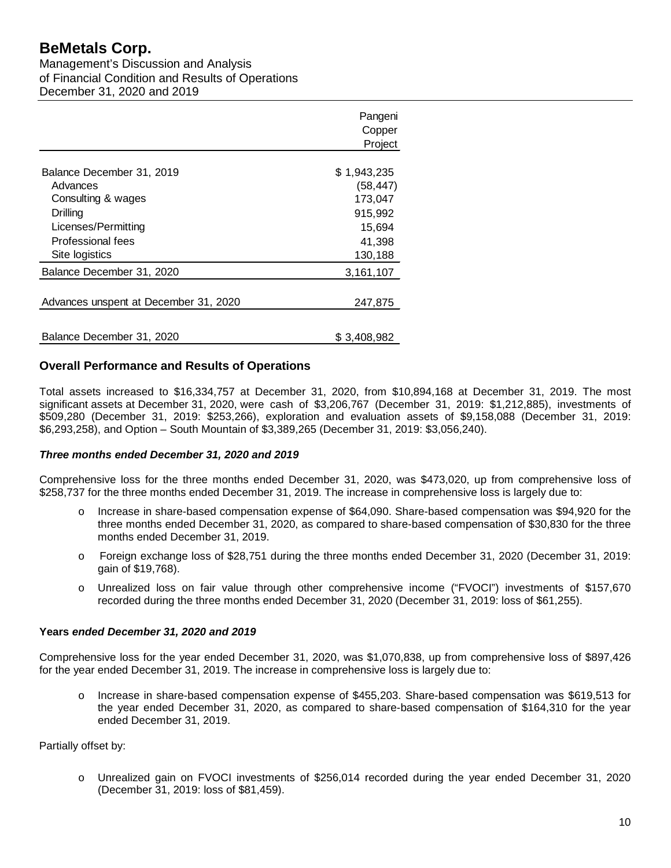Management's Discussion and Analysis of Financial Condition and Results of Operations December 31, 2020 and 2019

|                                       | Pangeni     |
|---------------------------------------|-------------|
|                                       | Copper      |
|                                       | Project     |
|                                       |             |
| Balance December 31, 2019             | \$1,943,235 |
| Advances                              | (58, 447)   |
| Consulting & wages                    | 173,047     |
| Drilling                              | 915,992     |
| Licenses/Permitting                   | 15,694      |
| Professional fees                     | 41,398      |
| Site logistics                        | 130,188     |
| Balance December 31, 2020             | 3,161,107   |
| Advances unspent at December 31, 2020 | 247,875     |
|                                       |             |
| Balance December 31, 2020             | \$3,408,982 |

# **Overall Performance and Results of Operations**

Total assets increased to \$16,334,757 at December 31, 2020, from \$10,894,168 at December 31, 2019. The most significant assets at December 31, 2020, were cash of \$3,206,767 (December 31, 2019: \$1,212,885), investments of \$509,280 (December 31, 2019: \$253,266), exploration and evaluation assets of \$9,158,088 (December 31, 2019: \$6,293,258), and Option – South Mountain of \$3,389,265 (December 31, 2019: \$3,056,240).

# *Three months ended December 31, 2020 and 2019*

Comprehensive loss for the three months ended December 31, 2020, was \$473,020, up from comprehensive loss of \$258,737 for the three months ended December 31, 2019. The increase in comprehensive loss is largely due to:

- o Increase in share-based compensation expense of \$64,090. Share-based compensation was \$94,920 for the three months ended December 31, 2020, as compared to share-based compensation of \$30,830 for the three months ended December 31, 2019.
- o Foreign exchange loss of \$28,751 during the three months ended December 31, 2020 (December 31, 2019: gain of \$19,768).
- o Unrealized loss on fair value through other comprehensive income ("FVOCI") investments of \$157,670 recorded during the three months ended December 31, 2020 (December 31, 2019: loss of \$61,255).

#### **Years** *ended December 31, 2020 and 2019*

Comprehensive loss for the year ended December 31, 2020, was \$1,070,838, up from comprehensive loss of \$897,426 for the year ended December 31, 2019. The increase in comprehensive loss is largely due to:

o Increase in share-based compensation expense of \$455,203. Share-based compensation was \$619,513 for the year ended December 31, 2020, as compared to share-based compensation of \$164,310 for the year ended December 31, 2019.

Partially offset by:

Unrealized gain on FVOCI investments of \$256,014 recorded during the year ended December 31, 2020 (December 31, 2019: loss of \$81,459).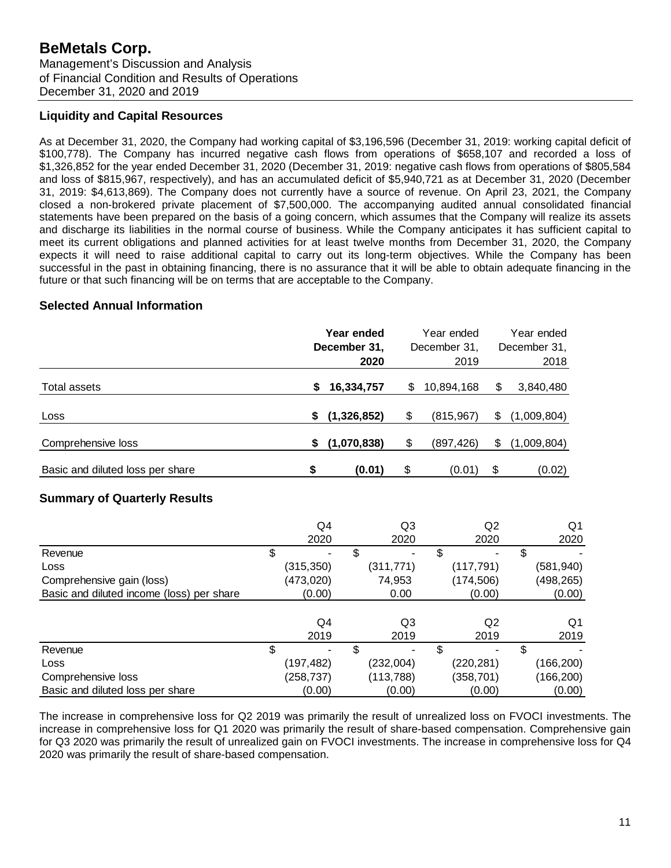Management's Discussion and Analysis of Financial Condition and Results of Operations December 31, 2020 and 2019

# **Liquidity and Capital Resources**

As at December 31, 2020, the Company had working capital of \$3,196,596 (December 31, 2019: working capital deficit of \$100,778). The Company has incurred negative cash flows from operations of \$658,107 and recorded a loss of \$1,326,852 for the year ended December 31, 2020 (December 31, 2019: negative cash flows from operations of \$805,584 and loss of \$815,967, respectively), and has an accumulated deficit of \$5,940,721 as at December 31, 2020 (December 31, 2019: \$4,613,869). The Company does not currently have a source of revenue. On April 23, 2021, the Company closed a non-brokered private placement of \$7,500,000. The accompanying audited annual consolidated financial statements have been prepared on the basis of a going concern, which assumes that the Company will realize its assets and discharge its liabilities in the normal course of business. While the Company anticipates it has sufficient capital to meet its current obligations and planned activities for at least twelve months from December 31, 2020, the Company expects it will need to raise additional capital to carry out its long-term objectives. While the Company has been successful in the past in obtaining financing, there is no assurance that it will be able to obtain adequate financing in the future or that such financing will be on terms that are acceptable to the Company.

# **Selected Annual Information**

|                                                                        |                                | Year ended<br>December 31,<br>2020 |                         | Year ended<br>December 31,<br>2019 |            | Year ended<br>December 31,<br>2018 |
|------------------------------------------------------------------------|--------------------------------|------------------------------------|-------------------------|------------------------------------|------------|------------------------------------|
| <b>Total assets</b>                                                    | \$                             | 16,334,757                         | \$                      | 10,894,168                         | \$         | 3,840,480                          |
| Loss                                                                   | \$                             | (1,326,852)                        | \$                      | (815, 967)                         | \$         | (1,009,804)                        |
| Comprehensive loss                                                     | S                              | (1,070,838)                        | \$                      | (897,426)                          | \$         | (1,009,804)                        |
| Basic and diluted loss per share                                       | \$                             | (0.01)                             | \$                      | (0.01)                             | \$         | (0.02)                             |
| <b>Summary of Quarterly Results</b>                                    |                                |                                    |                         |                                    |            |                                    |
|                                                                        | Q4<br>2020                     |                                    | Q <sub>3</sub><br>2020  |                                    | Q2<br>2020 | Q <sub>1</sub><br>2020             |
| Revenue<br>Loss                                                        | \$<br>(315, 350)               | \$                                 | (311, 771)              | \$<br>(117, 791)                   |            | \$<br>(581, 940)                   |
| Comprehensive gain (loss)<br>Basic and diluted income (loss) per share | (473,020)<br>(0.00)            |                                    | 74,953<br>0.00          | (174, 506)                         | (0.00)     | (498, 265)<br>(0.00)               |
|                                                                        | Q4<br>2019                     |                                    | Q <sub>3</sub><br>2019  |                                    | Q2<br>2019 | Q1<br>2019                         |
| Revenue<br>Loss<br>Comprehensive loss                                  | \$<br>(197, 482)<br>(258, 737) | \$                                 | (232,004)<br>(113, 788) | \$<br>(220, 281)<br>(358, 701)     |            | \$<br>(166, 200)<br>(166, 200)     |

The increase in comprehensive loss for Q2 2019 was primarily the result of unrealized loss on FVOCI investments. The increase in comprehensive loss for Q1 2020 was primarily the result of share-based compensation. Comprehensive gain for Q3 2020 was primarily the result of unrealized gain on FVOCI investments. The increase in comprehensive loss for Q4 2020 was primarily the result of share-based compensation.

Basic and diluted loss per share (0.00) (0.00) (0.00) (0.00) (0.00) (0.00)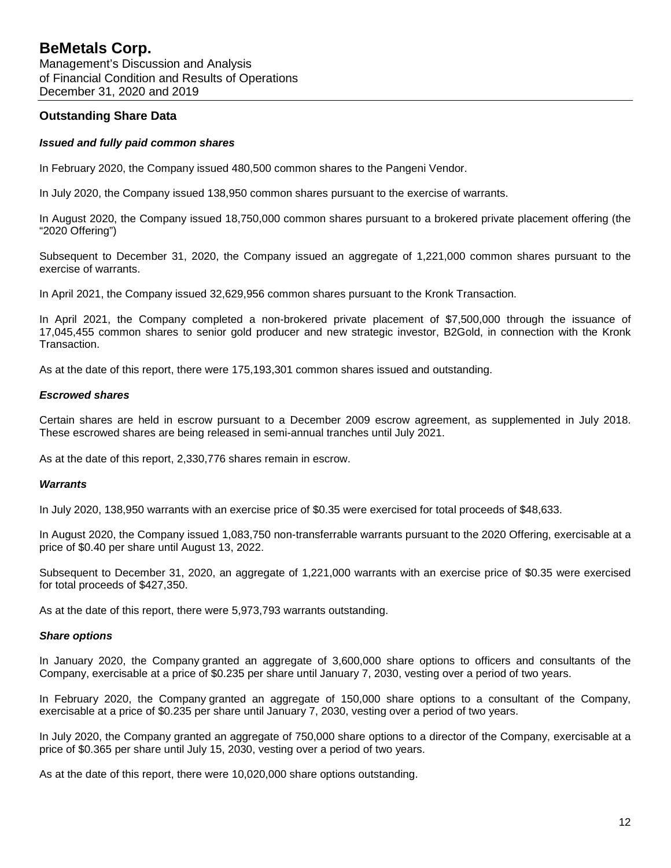# **Outstanding Share Data**

#### *Issued and fully paid common shares*

In February 2020, the Company issued 480,500 common shares to the Pangeni Vendor.

In July 2020, the Company issued 138,950 common shares pursuant to the exercise of warrants.

In August 2020, the Company issued 18,750,000 common shares pursuant to a brokered private placement offering (the "2020 Offering")

Subsequent to December 31, 2020, the Company issued an aggregate of 1,221,000 common shares pursuant to the exercise of warrants.

In April 2021, the Company issued 32,629,956 common shares pursuant to the Kronk Transaction.

In April 2021, the Company completed a non-brokered private placement of \$7,500,000 through the issuance of 17,045,455 common shares to senior gold producer and new strategic investor, B2Gold, in connection with the Kronk Transaction.

As at the date of this report, there were 175,193,301 common shares issued and outstanding.

#### *Escrowed shares*

Certain shares are held in escrow pursuant to a December 2009 escrow agreement, as supplemented in July 2018. These escrowed shares are being released in semi-annual tranches until July 2021.

As at the date of this report, 2,330,776 shares remain in escrow.

#### *Warrants*

In July 2020, 138,950 warrants with an exercise price of \$0.35 were exercised for total proceeds of \$48,633.

In August 2020, the Company issued 1,083,750 non-transferrable warrants pursuant to the 2020 Offering, exercisable at a price of \$0.40 per share until August 13, 2022.

Subsequent to December 31, 2020, an aggregate of 1,221,000 warrants with an exercise price of \$0.35 were exercised for total proceeds of \$427,350.

As at the date of this report, there were 5,973,793 warrants outstanding.

#### *Share options*

In January 2020, the Company granted an aggregate of 3,600,000 share options to officers and consultants of the Company, exercisable at a price of \$0.235 per share until January 7, 2030, vesting over a period of two years.

In February 2020, the Company granted an aggregate of 150,000 share options to a consultant of the Company, exercisable at a price of \$0.235 per share until January 7, 2030, vesting over a period of two years.

In July 2020, the Company granted an aggregate of 750,000 share options to a director of the Company, exercisable at a price of \$0.365 per share until July 15, 2030, vesting over a period of two years.

As at the date of this report, there were 10,020,000 share options outstanding.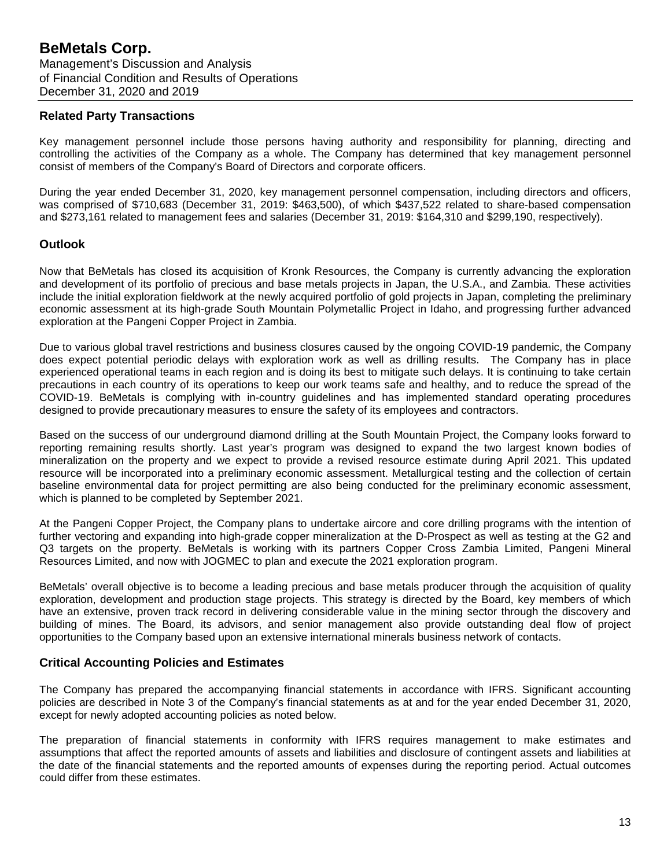### **Related Party Transactions**

Key management personnel include those persons having authority and responsibility for planning, directing and controlling the activities of the Company as a whole. The Company has determined that key management personnel consist of members of the Company's Board of Directors and corporate officers.

During the year ended December 31, 2020, key management personnel compensation, including directors and officers, was comprised of \$710,683 (December 31, 2019: \$463,500), of which \$437,522 related to share-based compensation and \$273,161 related to management fees and salaries (December 31, 2019: \$164,310 and \$299,190, respectively).

# **Outlook**

Now that BeMetals has closed its acquisition of Kronk Resources, the Company is currently advancing the exploration and development of its portfolio of precious and base metals projects in Japan, the U.S.A., and Zambia. These activities include the initial exploration fieldwork at the newly acquired portfolio of gold projects in Japan, completing the preliminary economic assessment at its high-grade South Mountain Polymetallic Project in Idaho, and progressing further advanced exploration at the Pangeni Copper Project in Zambia.

Due to various global travel restrictions and business closures caused by the ongoing COVID-19 pandemic, the Company does expect potential periodic delays with exploration work as well as drilling results. The Company has in place experienced operational teams in each region and is doing its best to mitigate such delays. It is continuing to take certain precautions in each country of its operations to keep our work teams safe and healthy, and to reduce the spread of the COVID-19. BeMetals is complying with in-country guidelines and has implemented standard operating procedures designed to provide precautionary measures to ensure the safety of its employees and contractors.

Based on the success of our underground diamond drilling at the South Mountain Project, the Company looks forward to reporting remaining results shortly. Last year's program was designed to expand the two largest known bodies of mineralization on the property and we expect to provide a revised resource estimate during April 2021. This updated resource will be incorporated into a preliminary economic assessment. Metallurgical testing and the collection of certain baseline environmental data for project permitting are also being conducted for the preliminary economic assessment, which is planned to be completed by September 2021.

At the Pangeni Copper Project, the Company plans to undertake aircore and core drilling programs with the intention of further vectoring and expanding into high-grade copper mineralization at the D-Prospect as well as testing at the G2 and Q3 targets on the property. BeMetals is working with its partners Copper Cross Zambia Limited, Pangeni Mineral Resources Limited, and now with JOGMEC to plan and execute the 2021 exploration program.

BeMetals' overall objective is to become a leading precious and base metals producer through the acquisition of quality exploration, development and production stage projects. This strategy is directed by the Board, key members of which have an extensive, proven track record in delivering considerable value in the mining sector through the discovery and building of mines. The Board, its advisors, and senior management also provide outstanding deal flow of project opportunities to the Company based upon an extensive international minerals business network of contacts.

# **Critical Accounting Policies and Estimates**

The Company has prepared the accompanying financial statements in accordance with IFRS. Significant accounting policies are described in Note 3 of the Company's financial statements as at and for the year ended December 31, 2020, except for newly adopted accounting policies as noted below.

The preparation of financial statements in conformity with IFRS requires management to make estimates and assumptions that affect the reported amounts of assets and liabilities and disclosure of contingent assets and liabilities at the date of the financial statements and the reported amounts of expenses during the reporting period. Actual outcomes could differ from these estimates.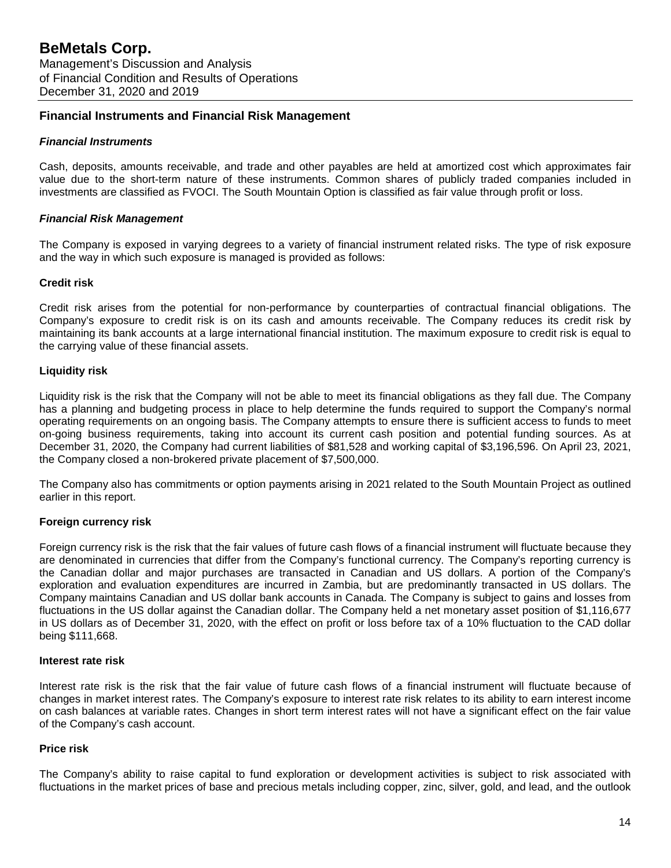# **Financial Instruments and Financial Risk Management**

# *Financial Instruments*

Cash, deposits, amounts receivable, and trade and other payables are held at amortized cost which approximates fair value due to the short-term nature of these instruments. Common shares of publicly traded companies included in investments are classified as FVOCI. The South Mountain Option is classified as fair value through profit or loss.

# *Financial Risk Management*

The Company is exposed in varying degrees to a variety of financial instrument related risks. The type of risk exposure and the way in which such exposure is managed is provided as follows:

# **Credit risk**

Credit risk arises from the potential for non-performance by counterparties of contractual financial obligations. The Company's exposure to credit risk is on its cash and amounts receivable. The Company reduces its credit risk by maintaining its bank accounts at a large international financial institution. The maximum exposure to credit risk is equal to the carrying value of these financial assets.

# **Liquidity risk**

Liquidity risk is the risk that the Company will not be able to meet its financial obligations as they fall due. The Company has a planning and budgeting process in place to help determine the funds required to support the Company's normal operating requirements on an ongoing basis. The Company attempts to ensure there is sufficient access to funds to meet on-going business requirements, taking into account its current cash position and potential funding sources. As at December 31, 2020, the Company had current liabilities of \$81,528 and working capital of \$3,196,596. On April 23, 2021, the Company closed a non-brokered private placement of \$7,500,000.

The Company also has commitments or option payments arising in 2021 related to the South Mountain Project as outlined earlier in this report.

# **Foreign currency risk**

Foreign currency risk is the risk that the fair values of future cash flows of a financial instrument will fluctuate because they are denominated in currencies that differ from the Company's functional currency. The Company's reporting currency is the Canadian dollar and major purchases are transacted in Canadian and US dollars. A portion of the Company's exploration and evaluation expenditures are incurred in Zambia, but are predominantly transacted in US dollars. The Company maintains Canadian and US dollar bank accounts in Canada. The Company is subject to gains and losses from fluctuations in the US dollar against the Canadian dollar. The Company held a net monetary asset position of \$1,116,677 in US dollars as of December 31, 2020, with the effect on profit or loss before tax of a 10% fluctuation to the CAD dollar being \$111,668.

# **Interest rate risk**

Interest rate risk is the risk that the fair value of future cash flows of a financial instrument will fluctuate because of changes in market interest rates. The Company's exposure to interest rate risk relates to its ability to earn interest income on cash balances at variable rates. Changes in short term interest rates will not have a significant effect on the fair value of the Company's cash account.

# **Price risk**

The Company's ability to raise capital to fund exploration or development activities is subject to risk associated with fluctuations in the market prices of base and precious metals including copper, zinc, silver, gold, and lead, and the outlook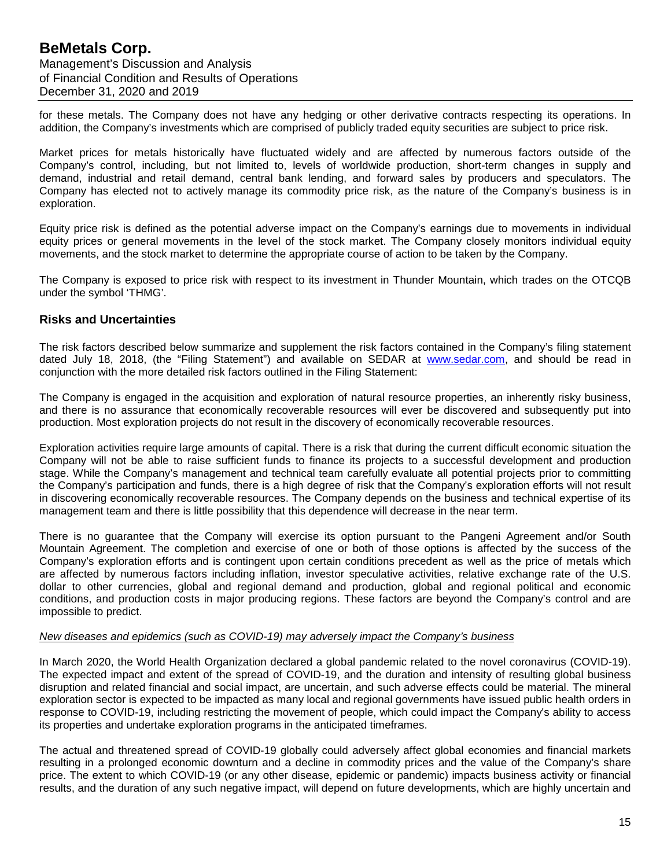for these metals. The Company does not have any hedging or other derivative contracts respecting its operations. In addition, the Company's investments which are comprised of publicly traded equity securities are subject to price risk.

Market prices for metals historically have fluctuated widely and are affected by numerous factors outside of the Company's control, including, but not limited to, levels of worldwide production, short-term changes in supply and demand, industrial and retail demand, central bank lending, and forward sales by producers and speculators. The Company has elected not to actively manage its commodity price risk, as the nature of the Company's business is in exploration.

Equity price risk is defined as the potential adverse impact on the Company's earnings due to movements in individual equity prices or general movements in the level of the stock market. The Company closely monitors individual equity movements, and the stock market to determine the appropriate course of action to be taken by the Company.

The Company is exposed to price risk with respect to its investment in Thunder Mountain, which trades on the OTCQB under the symbol 'THMG'.

# **Risks and Uncertainties**

The risk factors described below summarize and supplement the risk factors contained in the Company's filing statement dated July 18, 2018, (the "Filing Statement") and available on SEDAR at [www.sedar.com,](http://www.sedar.com/) and should be read in conjunction with the more detailed risk factors outlined in the Filing Statement:

The Company is engaged in the acquisition and exploration of natural resource properties, an inherently risky business, and there is no assurance that economically recoverable resources will ever be discovered and subsequently put into production. Most exploration projects do not result in the discovery of economically recoverable resources.

Exploration activities require large amounts of capital. There is a risk that during the current difficult economic situation the Company will not be able to raise sufficient funds to finance its projects to a successful development and production stage. While the Company's management and technical team carefully evaluate all potential projects prior to committing the Company's participation and funds, there is a high degree of risk that the Company's exploration efforts will not result in discovering economically recoverable resources. The Company depends on the business and technical expertise of its management team and there is little possibility that this dependence will decrease in the near term.

There is no guarantee that the Company will exercise its option pursuant to the Pangeni Agreement and/or South Mountain Agreement. The completion and exercise of one or both of those options is affected by the success of the Company's exploration efforts and is contingent upon certain conditions precedent as well as the price of metals which are affected by numerous factors including inflation, investor speculative activities, relative exchange rate of the U.S. dollar to other currencies, global and regional demand and production, global and regional political and economic conditions, and production costs in major producing regions. These factors are beyond the Company's control and are impossible to predict.

#### *New diseases and epidemics (such as COVID-19) may adversely impact the Company's business*

In March 2020, the World Health Organization declared a global pandemic related to the novel coronavirus (COVID-19). The expected impact and extent of the spread of COVID-19, and the duration and intensity of resulting global business disruption and related financial and social impact, are uncertain, and such adverse effects could be material. The mineral exploration sector is expected to be impacted as many local and regional governments have issued public health orders in response to COVID-19, including restricting the movement of people, which could impact the Company's ability to access its properties and undertake exploration programs in the anticipated timeframes.

The actual and threatened spread of COVID-19 globally could adversely affect global economies and financial markets resulting in a prolonged economic downturn and a decline in commodity prices and the value of the Company's share price. The extent to which COVID-19 (or any other disease, epidemic or pandemic) impacts business activity or financial results, and the duration of any such negative impact, will depend on future developments, which are highly uncertain and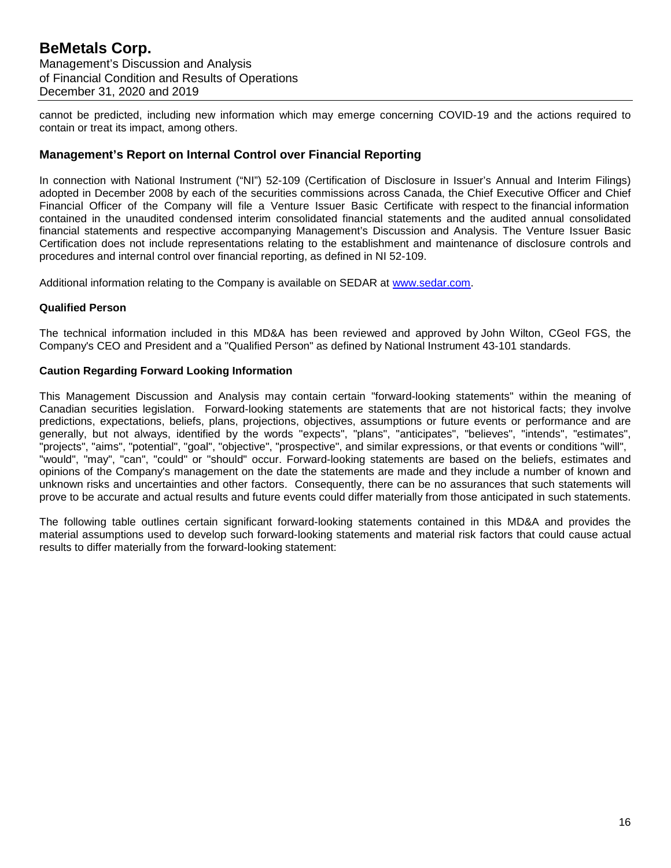cannot be predicted, including new information which may emerge concerning COVID-19 and the actions required to contain or treat its impact, among others.

# **Management's Report on Internal Control over Financial Reporting**

In connection with National Instrument ("NI") 52-109 (Certification of Disclosure in Issuer's Annual and Interim Filings) adopted in December 2008 by each of the securities commissions across Canada, the Chief Executive Officer and Chief Financial Officer of the Company will file a Venture Issuer Basic Certificate with respect to the financial information contained in the unaudited condensed interim consolidated financial statements and the audited annual consolidated financial statements and respective accompanying Management's Discussion and Analysis. The Venture Issuer Basic Certification does not include representations relating to the establishment and maintenance of disclosure controls and procedures and internal control over financial reporting, as defined in NI 52-109.

Additional information relating to the Company is available on SEDAR at [www.sedar.com.](http://www.sedar.com/)

#### **Qualified Person**

The technical information included in this MD&A has been reviewed and approved by John Wilton, CGeol FGS, the Company's CEO and President and a "Qualified Person" as defined by National Instrument 43-101 standards.

#### **Caution Regarding Forward Looking Information**

This Management Discussion and Analysis may contain certain "forward-looking statements" within the meaning of Canadian securities legislation. Forward-looking statements are statements that are not historical facts; they involve predictions, expectations, beliefs, plans, projections, objectives, assumptions or future events or performance and are generally, but not always, identified by the words "expects", "plans", "anticipates", "believes", "intends", "estimates", "projects", "aims", "potential", "goal", "objective", "prospective", and similar expressions, or that events or conditions "will", "would", "may", "can", "could" or "should" occur. Forward-looking statements are based on the beliefs, estimates and opinions of the Company's management on the date the statements are made and they include a number of known and unknown risks and uncertainties and other factors. Consequently, there can be no assurances that such statements will prove to be accurate and actual results and future events could differ materially from those anticipated in such statements.

The following table outlines certain significant forward-looking statements contained in this MD&A and provides the material assumptions used to develop such forward-looking statements and material risk factors that could cause actual results to differ materially from the forward-looking statement: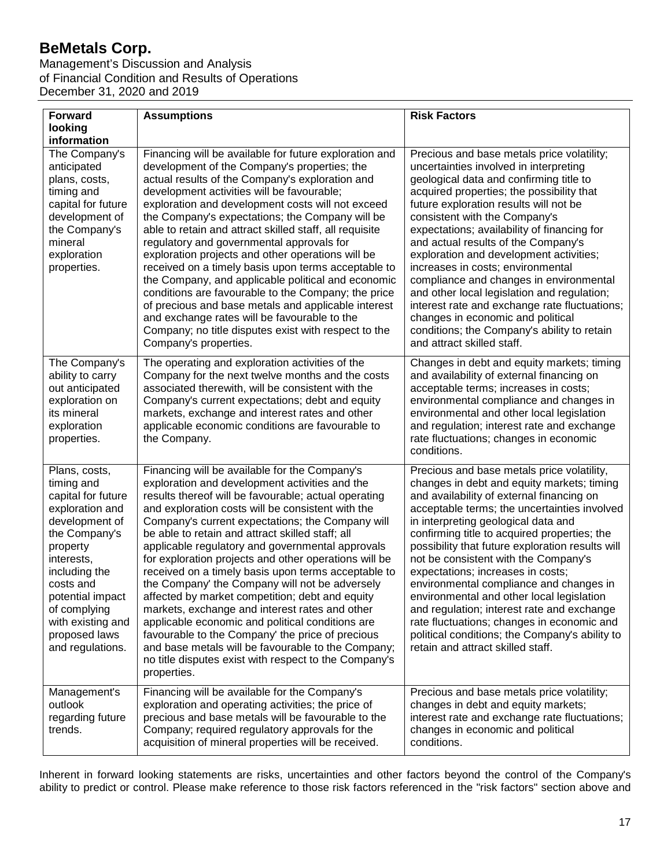Management's Discussion and Analysis of Financial Condition and Results of Operations December 31, 2020 and 2019

| <b>Forward</b>                                                                                                                                                                                                                                                | <b>Assumptions</b>                                                                                                                                                                                                                                                                                                                                                                                                                                                                                                                                                                                                                                                                                                                                                                                                                                                                    | <b>Risk Factors</b>                                                                                                                                                                                                                                                                                                                                                                                                                                                                                                                                                                                                                                                                        |
|---------------------------------------------------------------------------------------------------------------------------------------------------------------------------------------------------------------------------------------------------------------|---------------------------------------------------------------------------------------------------------------------------------------------------------------------------------------------------------------------------------------------------------------------------------------------------------------------------------------------------------------------------------------------------------------------------------------------------------------------------------------------------------------------------------------------------------------------------------------------------------------------------------------------------------------------------------------------------------------------------------------------------------------------------------------------------------------------------------------------------------------------------------------|--------------------------------------------------------------------------------------------------------------------------------------------------------------------------------------------------------------------------------------------------------------------------------------------------------------------------------------------------------------------------------------------------------------------------------------------------------------------------------------------------------------------------------------------------------------------------------------------------------------------------------------------------------------------------------------------|
| looking<br>information                                                                                                                                                                                                                                        |                                                                                                                                                                                                                                                                                                                                                                                                                                                                                                                                                                                                                                                                                                                                                                                                                                                                                       |                                                                                                                                                                                                                                                                                                                                                                                                                                                                                                                                                                                                                                                                                            |
| The Company's<br>anticipated<br>plans, costs,<br>timing and<br>capital for future<br>development of<br>the Company's<br>mineral<br>exploration<br>properties.                                                                                                 | Financing will be available for future exploration and<br>development of the Company's properties; the<br>actual results of the Company's exploration and<br>development activities will be favourable;<br>exploration and development costs will not exceed<br>the Company's expectations; the Company will be<br>able to retain and attract skilled staff, all requisite<br>regulatory and governmental approvals for<br>exploration projects and other operations will be<br>received on a timely basis upon terms acceptable to<br>the Company, and applicable political and economic<br>conditions are favourable to the Company; the price<br>of precious and base metals and applicable interest<br>and exchange rates will be favourable to the<br>Company; no title disputes exist with respect to the<br>Company's properties.                                              | Precious and base metals price volatility;<br>uncertainties involved in interpreting<br>geological data and confirming title to<br>acquired properties; the possibility that<br>future exploration results will not be<br>consistent with the Company's<br>expectations; availability of financing for<br>and actual results of the Company's<br>exploration and development activities;<br>increases in costs; environmental<br>compliance and changes in environmental<br>and other local legislation and regulation;<br>interest rate and exchange rate fluctuations;<br>changes in economic and political<br>conditions; the Company's ability to retain<br>and attract skilled staff. |
| The Company's<br>ability to carry<br>out anticipated<br>exploration on<br>its mineral<br>exploration<br>properties.                                                                                                                                           | The operating and exploration activities of the<br>Company for the next twelve months and the costs<br>associated therewith, will be consistent with the<br>Company's current expectations; debt and equity<br>markets, exchange and interest rates and other<br>applicable economic conditions are favourable to<br>the Company.                                                                                                                                                                                                                                                                                                                                                                                                                                                                                                                                                     | Changes in debt and equity markets; timing<br>and availability of external financing on<br>acceptable terms; increases in costs;<br>environmental compliance and changes in<br>environmental and other local legislation<br>and regulation; interest rate and exchange<br>rate fluctuations; changes in economic<br>conditions.                                                                                                                                                                                                                                                                                                                                                            |
| Plans, costs,<br>timing and<br>capital for future<br>exploration and<br>development of<br>the Company's<br>property<br>interests,<br>including the<br>costs and<br>potential impact<br>of complying<br>with existing and<br>proposed laws<br>and regulations. | Financing will be available for the Company's<br>exploration and development activities and the<br>results thereof will be favourable; actual operating<br>and exploration costs will be consistent with the<br>Company's current expectations; the Company will<br>be able to retain and attract skilled staff; all<br>applicable regulatory and governmental approvals<br>for exploration projects and other operations will be<br>received on a timely basis upon terms acceptable to<br>the Company' the Company will not be adversely<br>affected by market competition; debt and equity<br>markets, exchange and interest rates and other<br>applicable economic and political conditions are<br>favourable to the Company' the price of precious<br>and base metals will be favourable to the Company;<br>no title disputes exist with respect to the Company's<br>properties. | Precious and base metals price volatility,<br>changes in debt and equity markets; timing<br>and availability of external financing on<br>acceptable terms; the uncertainties involved<br>in interpreting geological data and<br>confirming title to acquired properties; the<br>possibility that future exploration results will<br>not be consistent with the Company's<br>expectations; increases in costs;<br>environmental compliance and changes in<br>environmental and other local legislation<br>and regulation; interest rate and exchange<br>rate fluctuations; changes in economic and<br>political conditions; the Company's ability to<br>retain and attract skilled staff.   |
| Management's<br>outlook<br>regarding future<br>trends.                                                                                                                                                                                                        | Financing will be available for the Company's<br>exploration and operating activities; the price of<br>precious and base metals will be favourable to the<br>Company; required regulatory approvals for the<br>acquisition of mineral properties will be received.                                                                                                                                                                                                                                                                                                                                                                                                                                                                                                                                                                                                                    | Precious and base metals price volatility;<br>changes in debt and equity markets;<br>interest rate and exchange rate fluctuations;<br>changes in economic and political<br>conditions.                                                                                                                                                                                                                                                                                                                                                                                                                                                                                                     |

Inherent in forward looking statements are risks, uncertainties and other factors beyond the control of the Company's ability to predict or control. Please make reference to those risk factors referenced in the "risk factors" section above and